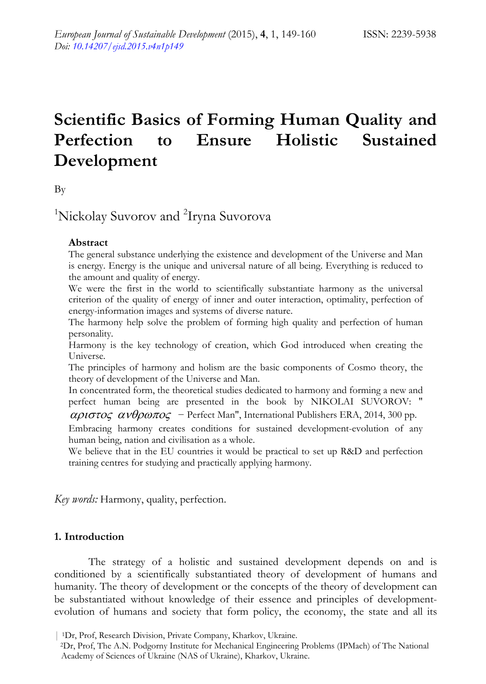# **Scientific Basics of Forming Human Quality and Perfection to Ensure Holistic Sustained Development**

By

<sup>1</sup>Nickolay Suvorov and <sup>2</sup>Iryna Suvorova

## **Abstract**

The general substance underlying the existence and development of the Universe and Man is energy. Energy is the unique and universal nature of all being. Everything is reduced to the amount and quality of energy.

We were the first in the world to scientifically substantiate harmony as the universal criterion of the quality of energy of inner and outer interaction, optimality, perfection of energy-information images and systems of diverse nature.

The harmony help solve the problem of forming high quality and perfection of human personality.

Harmony is the key technology of creation, which God introduced when creating the Universe.

The principles of harmony and holism are the basic components of Cosmo theory, the theory of development of the Universe and Man.

In concentrated form, the theoretical studies dedicated to harmony and forming a new and perfect human being are presented in the book by NIKOLAI SUVOROV: "

 $\alpha \rho \iota \sigma \tau o \zeta \alpha \nu \theta \rho \omega \pi o \zeta$  – Perfect Man", International Publishers ERA, 2014, 300 pp.

Embracing harmony creates conditions for sustained development-evolution of any human being, nation and civilisation as a whole.

We believe that in the EU countries it would be practical to set up R&D and perfection training centres for studying and practically applying harmony.

*Key words:* Harmony, quality, perfection.

# **1. Introduction**

The strategy of a holistic and sustained development depends on and is conditioned by a scientifically substantiated theory of development of humans and humanity. The theory of development or the concepts of the theory of development can be substantiated without knowledge of their essence and principles of developmentevolution of humans and society that form policy, the economy, the state and all its

<sup>| 1</sup>Dr, Prof, Research Division, Private Company, Kharkov, Ukraine. 2Dr, Prof, The A.N. Podgorny Institute for Mechanical Engineering Problems (IPMach) of The National Academy of Sciences of Ukraine (NAS of Ukraine), Kharkov, Ukraine.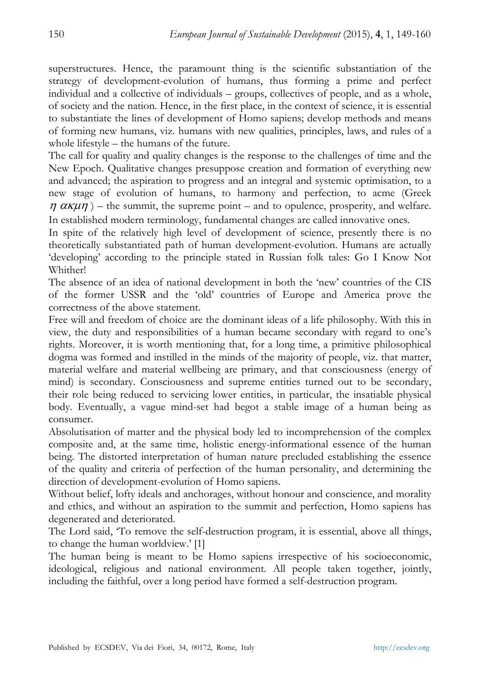superstructures. Hence, the paramount thing is the scientific substantiation of the strategy of development-evolution of humans, thus forming a prime and perfect individual and a collective of individuals – groups, collectives of people, and as a whole, of society and the nation. Hence, in the first place, in the context of science, it is essential to substantiate the lines of development of Homo sapiens; develop methods and means of forming new humans, viz. humans with new qualities, principles, laws, and rules of a whole lifestyle – the humans of the future.

The call for quality and quality changes is the response to the challenges of time and the New Epoch. Qualitative changes presuppose creation and formation of everything new and advanced; the aspiration to progress and an integral and systemic optimisation, to a new stage of evolution of humans, to harmony and perfection, to acme (Greek  $\eta \alpha \kappa \mu \eta$ ) – the summit, the supreme point – and to opulence, prosperity, and welfare. In established modern terminology, fundamental changes are called innovative ones.

In spite of the relatively high level of development of science, presently there is no theoretically substantiated path of human development-evolution. Humans are actually 'developing' according to the principle stated in Russian folk tales: Go I Know Not Whither!

The absence of an idea of national development in both the 'new' countries of the CIS of the former USSR and the 'old' countries of Europe and America prove the correctness of the above statement.

Free will and freedom of choice are the dominant ideas of a life philosophy. With this in view, the duty and responsibilities of a human became secondary with regard to one's rights. Moreover, it is worth mentioning that, for a long time, a primitive philosophical dogma was formed and instilled in the minds of the majority of people, viz. that matter, material welfare and material wellbeing are primary, and that consciousness (energy of mind) is secondary. Consciousness and supreme entities turned out to be secondary, their role being reduced to servicing lower entities, in particular, the insatiable physical body. Eventually, a vague mind-set had begot a stable image of a human being as consumer.

Absolutisation of matter and the physical body led to incomprehension of the complex composite and, at the same time, holistic energy-informational essence of the human being. The distorted interpretation of human nature precluded establishing the essence of the quality and criteria of perfection of the human personality, and determining the direction of development-evolution of Homo sapiens.

Without belief, lofty ideals and anchorages, without honour and conscience, and morality and ethics, and without an aspiration to the summit and perfection, Homo sapiens has degenerated and deteriorated.

The Lord said, 'To remove the self-destruction program, it is essential, above all things, to change the human worldview.' [1]

The human being is meant to be Homo sapiens irrespective of his socioeconomic, ideological, religious and national environment. All people taken together, jointly, including the faithful, over a long period have formed a self-destruction program.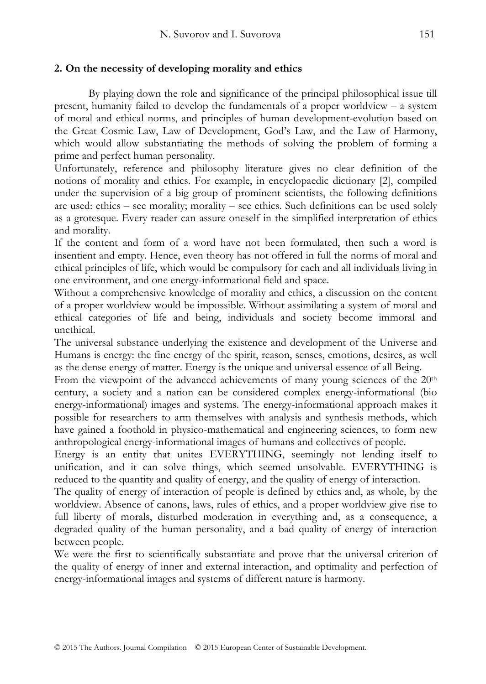# **2. On the necessity of developing morality and ethics**

By playing down the role and significance of the principal philosophical issue till present, humanity failed to develop the fundamentals of a proper worldview – a system of moral and ethical norms, and principles of human development-evolution based on the Great Cosmic Law, Law of Development, God's Law, and the Law of Harmony, which would allow substantiating the methods of solving the problem of forming a prime and perfect human personality.

Unfortunately, reference and philosophy literature gives no clear definition of the notions of morality and ethics. For example, in encyclopaedic dictionary [2], compiled under the supervision of a big group of prominent scientists, the following definitions are used: ethics – see morality; morality – see ethics. Such definitions can be used solely as a grotesque. Every reader can assure oneself in the simplified interpretation of ethics and morality.

If the content and form of a word have not been formulated, then such a word is insentient and empty. Hence, even theory has not offered in full the norms of moral and ethical principles of life, which would be compulsory for each and all individuals living in one environment, and one energy-informational field and space.

Without a comprehensive knowledge of morality and ethics, a discussion on the content of a proper worldview would be impossible. Without assimilating a system of moral and ethical categories of life and being, individuals and society become immoral and unethical.

The universal substance underlying the existence and development of the Universe and Humans is energy: the fine energy of the spirit, reason, senses, emotions, desires, as well as the dense energy of matter. Energy is the unique and universal essence of all Being.

From the viewpoint of the advanced achievements of many young sciences of the  $20<sup>th</sup>$ century, a society and a nation can be considered complex energy-informational (bio energy-informational) images and systems. The energy-informational approach makes it possible for researchers to arm themselves with analysis and synthesis methods, which have gained a foothold in physico-mathematical and engineering sciences, to form new anthropological energy-informational images of humans and collectives of people.

Energy is an entity that unites EVERYTHING, seemingly not lending itself to unification, and it can solve things, which seemed unsolvable. EVERYTHING is reduced to the quantity and quality of energy, and the quality of energy of interaction.

The quality of energy of interaction of people is defined by ethics and, as whole, by the worldview. Absence of canons, laws, rules of ethics, and a proper worldview give rise to full liberty of morals, disturbed moderation in everything and, as a consequence, a degraded quality of the human personality, and a bad quality of energy of interaction between people.

We were the first to scientifically substantiate and prove that the universal criterion of the quality of energy of inner and external interaction, and optimality and perfection of energy-informational images and systems of different nature is harmony.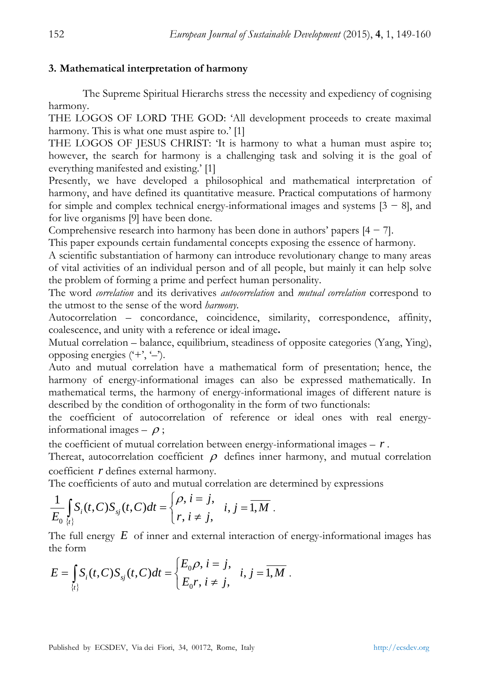## **3. Mathematical interpretation of harmony**

The Supreme Spiritual Hierarchs stress the necessity and expediency of cognising harmony.

THE LOGOS OF LORD THE GOD: 'All development proceeds to create maximal harmony. This is what one must aspire to.' [1]

THE LOGOS OF JESUS CHRIST: 'It is harmony to what a human must aspire to; however, the search for harmony is a challenging task and solving it is the goal of everything manifested and existing.' [1]

Presently, we have developed a philosophical and mathematical interpretation of harmony, and have defined its quantitative measure. Practical computations of harmony for simple and complex technical energy-informational images and systems  $[3 - 8]$ , and for live organisms [9] have been done.

Comprehensive research into harmony has been done in authors' papers  $[4 - 7]$ .

This paper expounds certain fundamental concepts exposing the essence of harmony.

A scientific substantiation of harmony can introduce revolutionary change to many areas of vital activities of an individual person and of all people, but mainly it can help solve the problem of forming a prime and perfect human personality.

The word *correlation* and its derivatives *autocorrelation* and *mutual correlation* correspond to the utmost to the sense of the word *harmony*.

Autocorrelation – concordance, coincidence, similarity, correspondence, affinity, coalescence, and unity with a reference or ideal image**.** 

Mutual correlation – balance, equilibrium, steadiness of opposite categories (Yang, Ying), opposing energies  $(4, 4)$ .

Auto and mutual correlation have a mathematical form of presentation; hence, the harmony of energy-informational images can also be expressed mathematically. In mathematical terms, the harmony of energy-informational images of different nature is described by the condition of orthogonality in the form of two functionals:

the coefficient of autocorrelation of reference or ideal ones with real energyinformational images  $\rho$ ;

the coefficient of mutual correlation between energy-informational images  $- r$ .

Thereat, autocorrelation coefficient  $\rho$  defines inner harmony, and mutual correlation coefficient *r* defines external harmony.

The coefficients of auto and mutual correlation are determined by expressions

$$
\frac{1}{E_0}\int_{\{t\}} S_i(t,C)S_{sj}(t,C)dt = \begin{cases} \rho, i=j, & i,j=\overline{1,M} \\ r, i\neq j, & \end{cases}
$$

The full energy *E* of inner and external interaction of energy-informational images has the form

$$
E = \int_{\{t\}} S_i(t, C) S_{sj}(t, C) dt = \begin{cases} E_0 \rho, i = j, \\ E_0 r, i \neq j, \end{cases} i, j = \overline{1, M}.
$$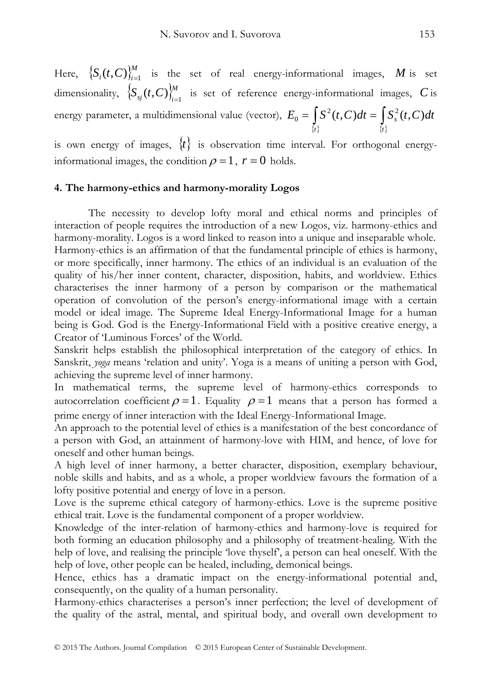Here,  ${S_i(t,C)}_{i=1}^M$  is the set of real energy-informational images, M is set dimensionality,  ${S_{sj}(t, C)}_{i=1}^M$  is set of reference energy-informational images, *C* is energy parameter, a multidimensional value (vector),  $=\int_{\{t\}} S^2(t,C)dt=\int_{\{t\}}$  $E_0 = \int S^2(t, C) dt = \int S_s^2(t, C) dt$ 

is own energy of images,  $\{t\}$  is observation time interval. For orthogonal energyinformational images, the condition  $\rho = 1$ ,  $r = 0$  holds.

### **4. The harmony-ethics and harmony-morality Logos**

The necessity to develop lofty moral and ethical norms and principles of interaction of people requires the introduction of a new Logos, viz. harmony-ethics and harmony-morality. Logos is a word linked to reason into a unique and inseparable whole. Harmony-ethics is an affirmation of that the fundamental principle of ethics is harmony, or more specifically, inner harmony. The ethics of an individual is an evaluation of the quality of his/her inner content, character, disposition, habits, and worldview. Ethics characterises the inner harmony of a person by comparison or the mathematical operation of convolution of the person's energy-informational image with a certain model or ideal image. The Supreme Ideal Energy-Informational Image for a human being is God. God is the Energy-Informational Field with a positive creative energy, a Creator of 'Luminous Forces' of the World.

Sanskrit helps establish the philosophical interpretation of the category of ethics. In Sanskrit, *yoga* means 'relation and unity'. Yoga is a means of uniting a person with God, achieving the supreme level of inner harmony.

In mathematical terms, the supreme level of harmony-ethics corresponds to autocorrelation coefficient  $\rho = 1$ . Equality  $\rho = 1$  means that a person has formed a prime energy of inner interaction with the Ideal Energy-Informational Image.

An approach to the potential level of ethics is a manifestation of the best concordance of a person with God, an attainment of harmony-love with HIM, and hence, of love for oneself and other human beings.

A high level of inner harmony, a better character, disposition, exemplary behaviour, noble skills and habits, and as a whole, a proper worldview favours the formation of a lofty positive potential and energy of love in a person.

Love is the supreme ethical category of harmony-ethics. Love is the supreme positive ethical trait. Love is the fundamental component of a proper worldview.

Knowledge of the inter-relation of harmony-ethics and harmony-love is required for both forming an education philosophy and a philosophy of treatment-healing. With the help of love, and realising the principle 'love thyself', a person can heal oneself. With the help of love, other people can be healed, including, demonical beings.

Hence, ethics has a dramatic impact on the energy-informational potential and, consequently, on the quality of a human personality.

Harmony-ethics characterises a person's inner perfection; the level of development of the quality of the astral, mental, and spiritual body, and overall own development to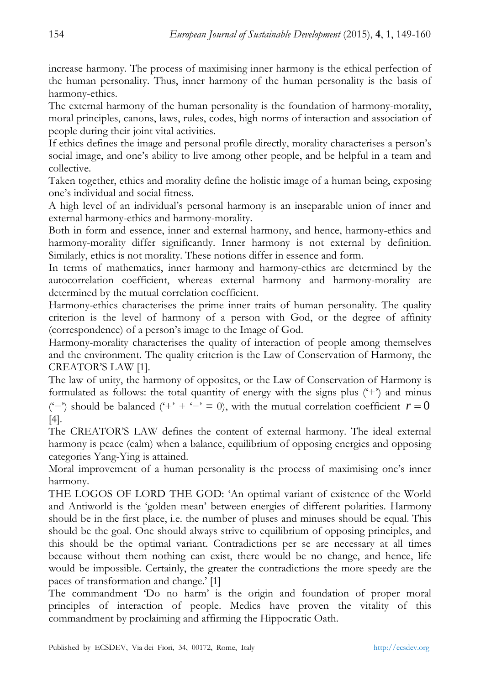increase harmony. The process of maximising inner harmony is the ethical perfection of the human personality. Thus, inner harmony of the human personality is the basis of harmony-ethics.

The external harmony of the human personality is the foundation of harmony-morality, moral principles, canons, laws, rules, codes, high norms of interaction and association of people during their joint vital activities.

If ethics defines the image and personal profile directly, morality characterises a person's social image, and one's ability to live among other people, and be helpful in a team and collective.

Taken together, ethics and morality define the holistic image of a human being, exposing one's individual and social fitness.

A high level of an individual's personal harmony is an inseparable union of inner and external harmony-ethics and harmony-morality.

Both in form and essence, inner and external harmony, and hence, harmony-ethics and harmony-morality differ significantly. Inner harmony is not external by definition. Similarly, ethics is not morality. These notions differ in essence and form.

In terms of mathematics, inner harmony and harmony-ethics are determined by the autocorrelation coefficient, whereas external harmony and harmony-morality are determined by the mutual correlation coefficient.

Harmony-ethics characterises the prime inner traits of human personality. The quality criterion is the level of harmony of a person with God, or the degree of affinity (correspondence) of a person's image to the Image of God.

Harmony-morality characterises the quality of interaction of people among themselves and the environment. The quality criterion is the Law of Conservation of Harmony, the CREATOR'S LAW [1].

The law of unity, the harmony of opposites, or the Law of Conservation of Harmony is formulated as follows: the total quantity of energy with the signs plus ('+') and minus ('−') should be balanced ('+' + '-' = 0), with the mutual correlation coefficient  $r = 0$ [4].

The CREATOR'S LAW defines the content of external harmony. The ideal external harmony is peace (calm) when a balance, equilibrium of opposing energies and opposing categories Yang-Ying is attained.

Moral improvement of a human personality is the process of maximising one's inner harmony.

THE LOGOS OF LORD THE GOD: 'An optimal variant of existence of the World and Antiworld is the 'golden mean' between energies of different polarities. Harmony should be in the first place, i.e. the number of pluses and minuses should be equal. This should be the goal. One should always strive to equilibrium of opposing principles, and this should be the optimal variant. Contradictions per se are necessary at all times because without them nothing can exist, there would be no change, and hence, life would be impossible. Certainly, the greater the contradictions the more speedy are the paces of transformation and change.' [1]

The commandment 'Do no harm' is the origin and foundation of proper moral principles of interaction of people. Medics have proven the vitality of this commandment by proclaiming and affirming the Hippocratic Oath.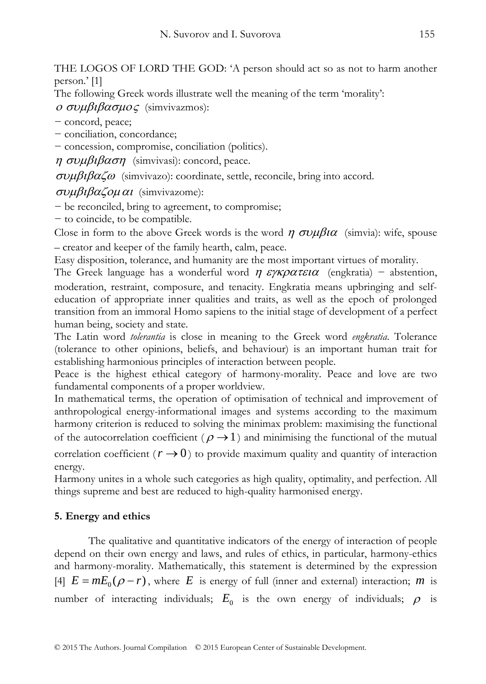THE LOGOS OF LORD THE GOD: 'A person should act so as not to harm another person.' [1]

The following Greek words illustrate well the meaning of the term 'morality':

<sup>ο</sup> συμβιβασμος (simvivazmos):

− concord, peace;

− conciliation, concordance;

− concession, compromise, conciliation (politics).

 $\eta \sigma \nu \mu \beta \iota \beta \alpha \sigma \eta$  (simvivasi): concord, peace.

συμβιβαζω (simvivazo): coordinate, settle, reconcile, bring into accord.

συμβιβαζομαι (simvivazome):

− be reconciled, bring to agreement, to compromise;

− to coincide, to be compatible.

Close in form to the above Greek words is the word  $\eta \sigma \nu \mu \beta \iota \alpha$  (simvia): wife, spouse – creator and keeper of the family hearth, calm, peace.

Easy disposition, tolerance, and humanity are the most important virtues of morality.

The Greek language has a wonderful word  $\eta \epsilon \gamma \kappa \rho \alpha \tau \epsilon \iota \alpha$  (engkratia) – abstention, moderation, restraint, composure, and tenacity. Engkratia means upbringing and selfeducation of appropriate inner qualities and traits, as well as the epoch of prolonged transition from an immoral Homo sapiens to the initial stage of development of a perfect human being, society and state.

The Latin word *tolerantia* is close in meaning to the Greek word *engkratia*. Tolerance (tolerance to other opinions, beliefs, and behaviour) is an important human trait for establishing harmonious principles of interaction between people.

Peace is the highest ethical category of harmony-morality. Peace and love are two fundamental components of a proper worldview.

In mathematical terms, the operation of optimisation of technical and improvement of anthropological energy-informational images and systems according to the maximum harmony criterion is reduced to solving the minimax problem: maximising the functional of the autocorrelation coefficient ( $\rho \rightarrow 1$ ) and minimising the functional of the mutual correlation coefficient ( $r \rightarrow 0$ ) to provide maximum quality and quantity of interaction energy.

Harmony unites in a whole such categories as high quality, optimality, and perfection. All things supreme and best are reduced to high-quality harmonised energy.

# **5. Energy and ethics**

The qualitative and quantitative indicators of the energy of interaction of people depend on their own energy and laws, and rules of ethics, in particular, harmony-ethics and harmony-morality. Mathematically, this statement is determined by the expression [4]  $E = mE_0(\rho - r)$ , where *E* is energy of full (inner and external) interaction; *m* is number of interacting individuals;  $E_0$  is the own energy of individuals;  $\rho$  is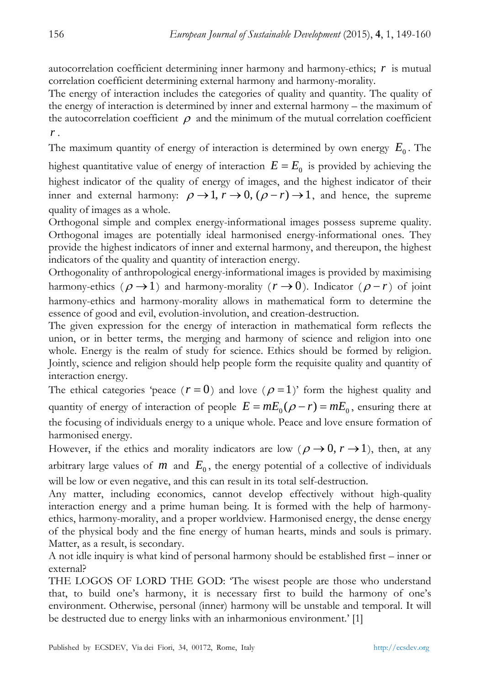autocorrelation coefficient determining inner harmony and harmony-ethics; *r* is mutual correlation coefficient determining external harmony and harmony-morality.

The energy of interaction includes the categories of quality and quantity. The quality of the energy of interaction is determined by inner and external harmony – the maximum of the autocorrelation coefficient  $\rho$  and the minimum of the mutual correlation coefficient *r* .

The maximum quantity of energy of interaction is determined by own energy  $E_0$ . The

highest quantitative value of energy of interaction  $E = E_0$  is provided by achieving the highest indicator of the quality of energy of images, and the highest indicator of their inner and external harmony:  $\rho \rightarrow 1$ ,  $r \rightarrow 0$ ,  $(\rho - r) \rightarrow 1$ , and hence, the supreme quality of images as a whole.

Orthogonal simple and complex energy-informational images possess supreme quality. Orthogonal images are potentially ideal harmonised energy-informational ones. They provide the highest indicators of inner and external harmony, and thereupon, the highest indicators of the quality and quantity of interaction energy.

Orthogonality of anthropological energy-informational images is provided by maximising harmony-ethics ( $\rho \rightarrow 1$ ) and harmony-morality ( $r \rightarrow 0$ ). Indicator ( $\rho - r$ ) of joint harmony-ethics and harmony-morality allows in mathematical form to determine the essence of good and evil, evolution-involution, and creation-destruction.

The given expression for the energy of interaction in mathematical form reflects the union, or in better terms, the merging and harmony of science and religion into one whole. Energy is the realm of study for science. Ethics should be formed by religion. Jointly, science and religion should help people form the requisite quality and quantity of interaction energy.

The ethical categories 'peace ( $r = 0$ ) and love ( $\rho = 1$ )' form the highest quality and quantity of energy of interaction of people  $E = mE_0(\rho - r) = mE_0$ , ensuring there at the focusing of individuals energy to a unique whole. Peace and love ensure formation of harmonised energy.

However, if the ethics and morality indicators are low ( $\rho \rightarrow 0, r \rightarrow 1$ ), then, at any arbitrary large values of  $m$  and  $E_0$ , the energy potential of a collective of individuals will be low or even negative, and this can result in its total self-destruction.

Any matter, including economics, cannot develop effectively without high-quality interaction energy and a prime human being. It is formed with the help of harmonyethics, harmony-morality, and a proper worldview. Harmonised energy, the dense energy of the physical body and the fine energy of human hearts, minds and souls is primary. Matter, as a result, is secondary.

A not idle inquiry is what kind of personal harmony should be established first – inner or external?

THE LOGOS OF LORD THE GOD: 'The wisest people are those who understand that, to build one's harmony, it is necessary first to build the harmony of one's environment. Otherwise, personal (inner) harmony will be unstable and temporal. It will be destructed due to energy links with an inharmonious environment.' [1]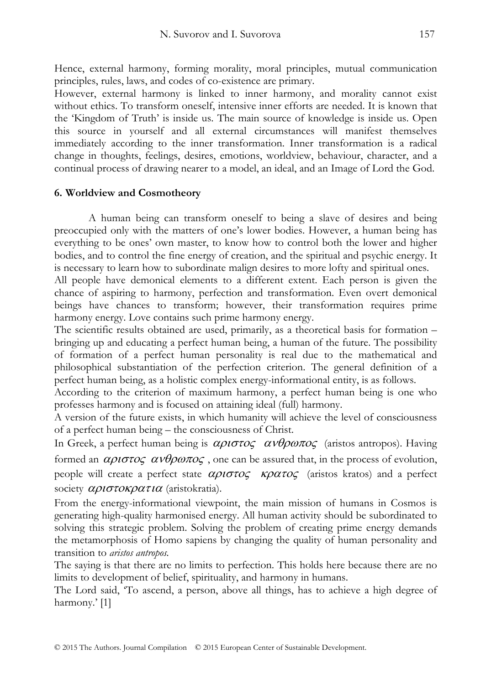Hence, external harmony, forming morality, moral principles, mutual communication principles, rules, laws, and codes of co-existence are primary.

However, external harmony is linked to inner harmony, and morality cannot exist without ethics. To transform oneself, intensive inner efforts are needed. It is known that the 'Kingdom of Truth' is inside us. The main source of knowledge is inside us. Open this source in yourself and all external circumstances will manifest themselves immediately according to the inner transformation. Inner transformation is a radical change in thoughts, feelings, desires, emotions, worldview, behaviour, character, and a continual process of drawing nearer to a model, an ideal, and an Image of Lord the God.

## **6. Worldview and Cosmotheory**

A human being can transform oneself to being a slave of desires and being preoccupied only with the matters of one's lower bodies. However, a human being has everything to be ones' own master, to know how to control both the lower and higher bodies, and to control the fine energy of creation, and the spiritual and psychic energy. It is necessary to learn how to subordinate malign desires to more lofty and spiritual ones.

All people have demonical elements to a different extent. Each person is given the chance of aspiring to harmony, perfection and transformation. Even overt demonical beings have chances to transform; however, their transformation requires prime harmony energy. Love contains such prime harmony energy.

The scientific results obtained are used, primarily, as a theoretical basis for formation – bringing up and educating a perfect human being, a human of the future. The possibility of formation of a perfect human personality is real due to the mathematical and philosophical substantiation of the perfection criterion. The general definition of a perfect human being, as a holistic complex energy-informational entity, is as follows.

According to the criterion of maximum harmony, a perfect human being is one who professes harmony and is focused on attaining ideal (full) harmony.

A version of the future exists, in which humanity will achieve the level of consciousness of a perfect human being – the consciousness of Christ.

In Greek, a perfect human being is  $\alpha \rho \iota \sigma \iota \sigma \rho$   $\alpha \nu \theta \rho \omega \pi o \zeta$  (aristos antropos). Having formed an  $\alpha \rho \rightarrow \alpha \nu \theta \rho \omega \pi \rho \sigma$ , one can be assured that, in the process of evolution, people will create a perfect state  $\alpha \rho \iota \sigma \tau \iota \sigma \rho \rho \alpha \tau \iota \sigma \rho \rho \rho$  (aristos kratos) and a perfect society  $\alpha\rho$ ιστοκρατια (aristokratia).

From the energy-informational viewpoint, the main mission of humans in Cosmos is generating high-quality harmonised energy. All human activity should be subordinated to solving this strategic problem. Solving the problem of creating prime energy demands the metamorphosis of Homo sapiens by changing the quality of human personality and transition to *aristos antropos.*

The saying is that there are no limits to perfection. This holds here because there are no limits to development of belief, spirituality, and harmony in humans.

The Lord said, 'To ascend, a person, above all things, has to achieve a high degree of harmony.' [1]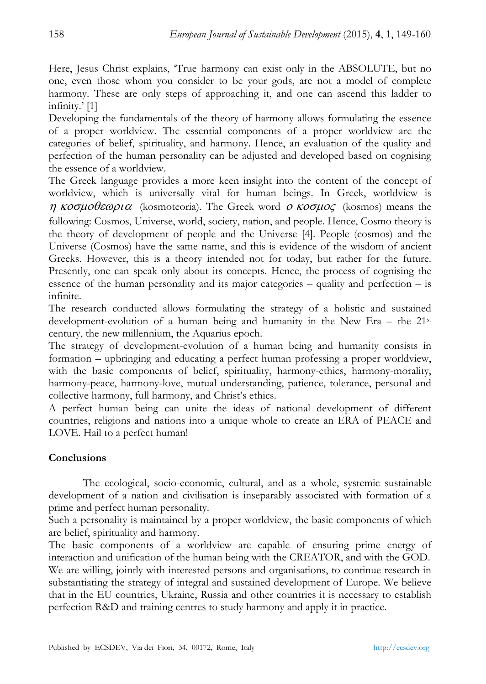Here, Jesus Christ explains, 'True harmony can exist only in the ABSOLUTE, but no one, even those whom you consider to be your gods, are not a model of complete harmony. These are only steps of approaching it, and one can ascend this ladder to infinity.' [1]

Developing the fundamentals of the theory of harmony allows formulating the essence of a proper worldview. The essential components of a proper worldview are the categories of belief, spirituality, and harmony. Hence, an evaluation of the quality and perfection of the human personality can be adjusted and developed based on cognising the essence of a worldview.

The Greek language provides a more keen insight into the content of the concept of worldview, which is universally vital for human beings. In Greek, worldview is η κοσμοθεωρια (kosmoteoria). The Greek word ο κοσμος (kosmos) means the following: Cosmos, Universe, world, society, nation, and people. Hence, Cosmo theory is the theory of development of people and the Universe [4]. People (cosmos) and the Universe (Cosmos) have the same name, and this is evidence of the wisdom of ancient Greeks. However, this is a theory intended not for today, but rather for the future. Presently, one can speak only about its concepts. Hence, the process of cognising the essence of the human personality and its major categories – quality and perfection – is infinite.

The research conducted allows formulating the strategy of a holistic and sustained development-evolution of a human being and humanity in the New Era – the 21st century, the new millennium, the Aquarius epoch.

The strategy of development-evolution of a human being and humanity consists in formation – upbringing and educating a perfect human professing a proper worldview, with the basic components of belief, spirituality, harmony-ethics, harmony-morality, harmony-peace, harmony-love, mutual understanding, patience, tolerance, personal and collective harmony, full harmony, and Christ's ethics.

A perfect human being can unite the ideas of national development of different countries, religions and nations into a unique whole to create an ERA of PEACE and LOVE. Hail to a perfect human!

# **Conclusions**

The ecological, socio-economic, cultural, and as a whole, systemic sustainable development of a nation and civilisation is inseparably associated with formation of a prime and perfect human personality.

Such a personality is maintained by a proper worldview, the basic components of which are belief, spirituality and harmony.

The basic components of a worldview are capable of ensuring prime energy of interaction and unification of the human being with the CREATOR, and with the GOD. We are willing, jointly with interested persons and organisations, to continue research in substantiating the strategy of integral and sustained development of Europe. We believe that in the EU countries, Ukraine, Russia and other countries it is necessary to establish perfection R&D and training centres to study harmony and apply it in practice.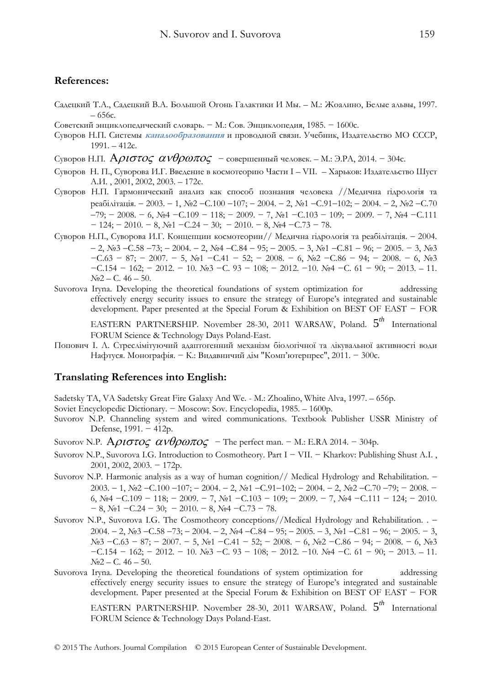#### **References:**

- Садецкий Т.А., Садецкий В.А. Большой Огонь Галактики И Мы. М.: Жоалино, Белые альвы, 1997. – 656с.
- Советский энциклопедический словарь. − М.: Сов. Энциклопедия, 1985. − 1600с.
- Суворов Н.П. Системы **каналообразования** и проводной связи. Учебник, Издательство МО СССР, 1991. – 412с.
- Суворов Н.П.  $A\rho\iota\sigma\tau o\varsigma \alpha\nu\theta\rho\omega\pi o\varsigma$  совершенный человек. М.: Э.РА, 2014. 304с.
- Суворов Н. П., Суворова И.Г. Введение в космотеорию Части I VII. Харьков: Издательство Шуст А.И. , 2001, 2002, 2003. – 172с.
- Суворов Н.П. Гармонический анализ как способ познания человека //Медична гідрологія та реабілітація. − 2003. − 1, №2 −С.100 −107; − 2004. − 2, №1 −С.91−102; − 2004. − 2, №2 −С.70 −79; − 2008. − 6, №4 −С.109 − 118; − 2009. − 7, №1 −С.103 − 109; − 2009. − 7, №4 −С.111  $-124$ ;  $-2010. - 8$ ,  $\text{Ne}1 - \text{C}24 - 30$ ;  $-2010. - 8$ ,  $\text{Ne}4 - \text{C}3 - 78$ .
- Суворов Н.П., Суворова И.Г. Концепции космотеории// Медична гідрологія та реабілітація. − 2004. − 2, №3 −С.58 −73; − 2004. − 2, №4 −С.84 − 95; − 2005. − 3, №1 −С.81 − 96; − 2005. − 3, №3 −С.63 − 87; − 2007. − 5, №1 −С.41 − 52; − 2008. − 6, №2 −С.86 − 94; − 2008. − 6, №3 −С.154 − 162; − 2012. − 10. №3 −С. 93 − 108; − 2012. −10. №4 −С. 61 − 90; − 2013. – 11. №2 – С. 46 – 50.
- Suvorova Iryna. Developing the theoretical foundations of system optimization for addressing effectively energy security issues to ensure the strategy of Europe's integrated and sustainable development. Paper presented at the Special Forum & Exhibition on BEST OF EAST − FOR

EASTERN PARTNERSHIP. November 28-30, 2011 WARSAW, Poland. 5<sup>th</sup> International FORUM Science & Technology Days Poland-East.

Попович І. Л. Стреслімітуючий адаптогенний механізм біологічної та лікувальної активності води Нафтуся. Монографія. − К.: Видавничий дім "Комп'ютерпрес", 2011. − 300с.

#### **Translating References into English:**

Sadetsky TA, VA Sadetsky Great Fire Galaxy And We. - M.: Zhoalino, White Alva, 1997. – 656p.

- Soviet Encyclopedic Dictionary. − Moscow: Sov. Encyclopedia, 1985. 1600p.
- Suvorov N.P. Channeling system and wired communications. Textbook Publisher USSR Ministry of Defense, 1991. − 412p.
- Suvorov N.P.  $Aριστος ανθρωπος The perfect man. M.: E.RA 2014. 304p.$
- Suvorov N.P., Suvorova I.G. Introduction to Cosmotheory. Part I − VII. − Kharkov: Publishing Shust A.I. , 2001, 2002, 2003. − 172p.
- Suvorov N.P. Harmonic analysis as a way of human cognition// Medical Hydrology and Rehabilitation. − 2003. − 1, №2 −С.100 −107; − 2004. − 2, №1 −С.91−102; − 2004. − 2, №2 −С.70 −79; − 2008. − 6, №4 −С.109 − 118; − 2009. − 7, №1 −С.103 − 109; − 2009. − 7, №4 −С.111 − 124; − 2010.  $- 8$ , №1  $-C.24 - 30$ ;  $- 2010$ .  $- 8$ , №4  $-C.73 - 78$ .
- Suvorov N.P., Suvorova I.G. The Cosmotheory conceptions//Medical Hydrology and Rehabilitation. . − 2004. − 2, №3 −С.58 −73; − 2004. − 2, №4 −С.84 − 95; − 2005. − 3, №1 −С.81 − 96; − 2005. − 3, №3 −С.63 − 87; − 2007. − 5, №1 −С.41 − 52; − 2008. − 6, №2 −С.86 − 94; − 2008. − 6, №3 −С.154 − 162; − 2012. − 10. №3 −С. 93 − 108; − 2012. −10. №4 −С. 61 − 90; − 2013. – 11.  $N_{2}2 - C.46 - 50.$
- Suvorova Iryna. Developing the theoretical foundations of system optimization for addressing effectively energy security issues to ensure the strategy of Europe's integrated and sustainable development. Paper presented at the Special Forum & Exhibition on BEST OF EAST − FOR

EASTERN PARTNERSHIP. November 28-30, 2011 WARSAW, Poland. 5<sup>th</sup> International FORUM Science & Technology Days Poland-East.